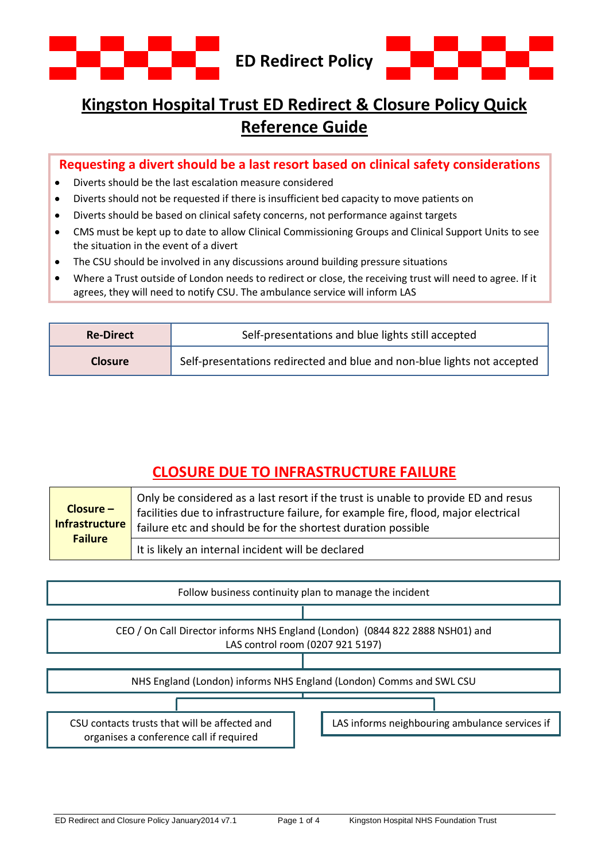



## **Kingston Hospital Trust ED Redirect & Closure Policy Quick Reference Guide**

#### **Requesting a divert should be a last resort based on clinical safety considerations**

- $\bullet$ Diverts should be the last escalation measure considered
- Diverts should not be requested if there is insufficient bed capacity to move patients on
- Diverts should be based on clinical safety concerns, not performance against targets
- CMS must be kept up to date to allow Clinical Commissioning Groups and Clinical Support Units to see  $\bullet$ the situation in the event of a divert
- The CSU should be involved in any discussions around building pressure situations
- Where a Trust outside of London needs to redirect or close, the receiving trust will need to agree. If it agrees, they will need to notify CSU. The ambulance service will inform LAS

| <b>Re-Direct</b> | Self-presentations and blue lights still accepted                       |
|------------------|-------------------------------------------------------------------------|
| <b>Closure</b>   | Self-presentations redirected and blue and non-blue lights not accepted |

## **CLOSURE DUE TO INFRASTRUCTURE FAILURE**

| $Closure -$<br>Infrastructure | Only be considered as a last resort if the trust is unable to provide ED and resus<br>facilities due to infrastructure failure, for example fire, flood, major electrical<br>failure etc and should be for the shortest duration possible |
|-------------------------------|-------------------------------------------------------------------------------------------------------------------------------------------------------------------------------------------------------------------------------------------|
| <b>Failure</b>                | It is likely an internal incident will be declared                                                                                                                                                                                        |

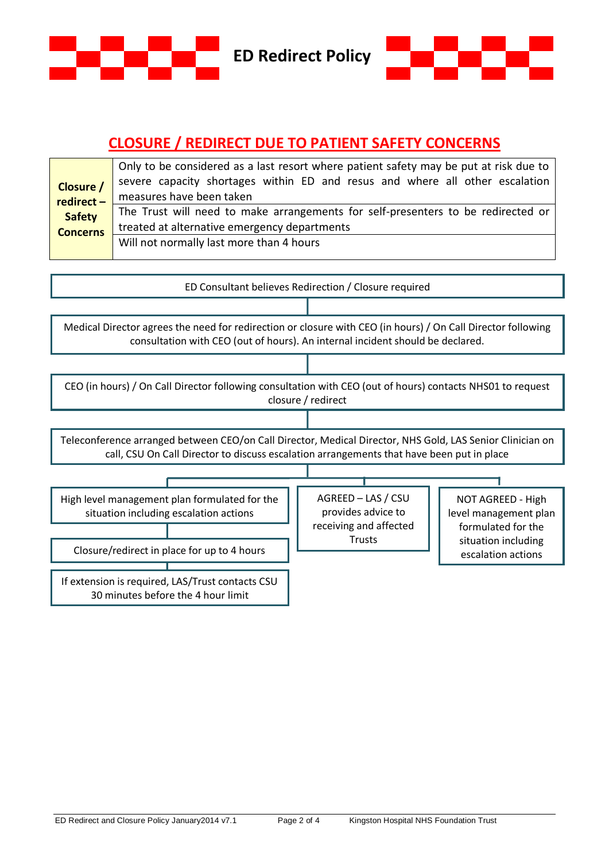

# **CLOSURE / REDIRECT DUE TO PATIENT SAFETY CONCERNS**

|                 | Only to be considered as a last resort where patient safety may be put at risk due to                                            |  |
|-----------------|----------------------------------------------------------------------------------------------------------------------------------|--|
| Closure /       | severe capacity shortages within ED and resus and where all other escalation                                                     |  |
| redirect-       | measures have been taken                                                                                                         |  |
| <b>Safety</b>   | The Trust will need to make arrangements for self-presenters to be redirected or<br>treated at alternative emergency departments |  |
| <b>Concerns</b> |                                                                                                                                  |  |
|                 | Will not normally last more than 4 hours                                                                                         |  |
|                 |                                                                                                                                  |  |

| ED Consultant believes Redirection / Closure required                                                                                                                                                  |                                                                                     |                                                                                                               |  |  |
|--------------------------------------------------------------------------------------------------------------------------------------------------------------------------------------------------------|-------------------------------------------------------------------------------------|---------------------------------------------------------------------------------------------------------------|--|--|
|                                                                                                                                                                                                        |                                                                                     |                                                                                                               |  |  |
| Medical Director agrees the need for redirection or closure with CEO (in hours) / On Call Director following<br>consultation with CEO (out of hours). An internal incident should be declared.         |                                                                                     |                                                                                                               |  |  |
|                                                                                                                                                                                                        |                                                                                     |                                                                                                               |  |  |
| CEO (in hours) / On Call Director following consultation with CEO (out of hours) contacts NHS01 to request<br>closure / redirect                                                                       |                                                                                     |                                                                                                               |  |  |
|                                                                                                                                                                                                        |                                                                                     |                                                                                                               |  |  |
| Teleconference arranged between CEO/on Call Director, Medical Director, NHS Gold, LAS Senior Clinician on<br>call, CSU On Call Director to discuss escalation arrangements that have been put in place |                                                                                     |                                                                                                               |  |  |
|                                                                                                                                                                                                        |                                                                                     |                                                                                                               |  |  |
| High level management plan formulated for the<br>situation including escalation actions<br>Closure/redirect in place for up to 4 hours                                                                 | AGREED - LAS / CSU<br>provides advice to<br>receiving and affected<br><b>Trusts</b> | NOT AGREED - High<br>level management plan<br>formulated for the<br>situation including<br>escalation actions |  |  |
| If extension is required, LAS/Trust contacts CSU<br>30 minutes before the 4 hour limit                                                                                                                 |                                                                                     |                                                                                                               |  |  |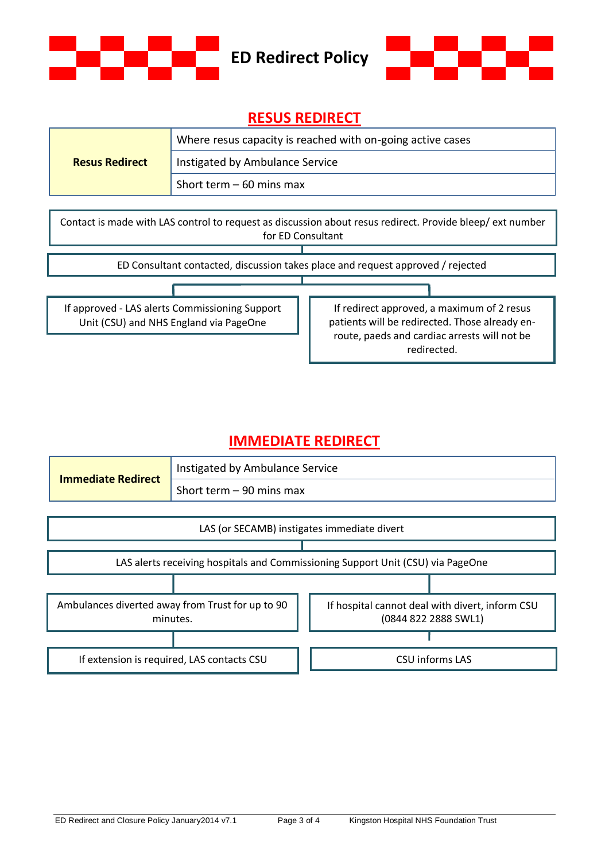



### **RESUS REDIRECT**

|                       | Where resus capacity is reached with on-going active cases |  |
|-----------------------|------------------------------------------------------------|--|
| <b>Resus Redirect</b> | Instigated by Ambulance Service                            |  |
|                       | Short term $-60$ mins max                                  |  |

Contact is made with LAS control to request as discussion about resus redirect. Provide bleep/ ext number for ED Consultant

ED Consultant contacted, discussion takes place and request approved / rejected

If approved - LAS alerts Commissioning Support Unit (CSU) and NHS England via PageOne

If redirect approved, a maximum of 2 resus patients will be redirected. Those already enroute, paeds and cardiac arrests will not be redirected.

### **IMMEDIATE REDIRECT**